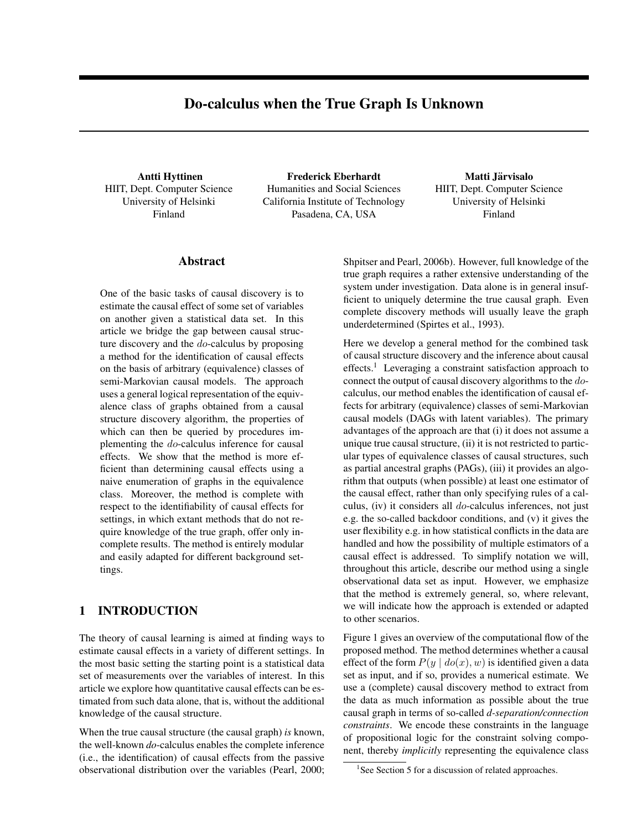# Do-calculus when the True Graph Is Unknown

Antti Hyttinen HIIT, Dept. Computer Science University of Helsinki Finland

Frederick Eberhardt Humanities and Social Sciences California Institute of Technology Pasadena, CA, USA

Matti Järvisalo HIIT, Dept. Computer Science University of Helsinki Finland

## Abstract

One of the basic tasks of causal discovery is to estimate the causal effect of some set of variables on another given a statistical data set. In this article we bridge the gap between causal structure discovery and the do-calculus by proposing a method for the identification of causal effects on the basis of arbitrary (equivalence) classes of semi-Markovian causal models. The approach uses a general logical representation of the equivalence class of graphs obtained from a causal structure discovery algorithm, the properties of which can then be queried by procedures implementing the do-calculus inference for causal effects. We show that the method is more efficient than determining causal effects using a naive enumeration of graphs in the equivalence class. Moreover, the method is complete with respect to the identifiability of causal effects for settings, in which extant methods that do not require knowledge of the true graph, offer only incomplete results. The method is entirely modular and easily adapted for different background settings.

## 1 INTRODUCTION

The theory of causal learning is aimed at finding ways to estimate causal effects in a variety of different settings. In the most basic setting the starting point is a statistical data set of measurements over the variables of interest. In this article we explore how quantitative causal effects can be estimated from such data alone, that is, without the additional knowledge of the causal structure.

When the true causal structure (the causal graph) *is* known, the well-known *do*-calculus enables the complete inference (i.e., the identification) of causal effects from the passive observational distribution over the variables (Pearl, 2000; Shpitser and Pearl, 2006b). However, full knowledge of the true graph requires a rather extensive understanding of the system under investigation. Data alone is in general insufficient to uniquely determine the true causal graph. Even complete discovery methods will usually leave the graph underdetermined (Spirtes et al., 1993).

Here we develop a general method for the combined task of causal structure discovery and the inference about causal effects.<sup>1</sup> Leveraging a constraint satisfaction approach to connect the output of causal discovery algorithms to the docalculus, our method enables the identification of causal effects for arbitrary (equivalence) classes of semi-Markovian causal models (DAGs with latent variables). The primary advantages of the approach are that (i) it does not assume a unique true causal structure, (ii) it is not restricted to particular types of equivalence classes of causal structures, such as partial ancestral graphs (PAGs), (iii) it provides an algorithm that outputs (when possible) at least one estimator of the causal effect, rather than only specifying rules of a calculus, (iv) it considers all do-calculus inferences, not just e.g. the so-called backdoor conditions, and (v) it gives the user flexibility e.g. in how statistical conflicts in the data are handled and how the possibility of multiple estimators of a causal effect is addressed. To simplify notation we will, throughout this article, describe our method using a single observational data set as input. However, we emphasize that the method is extremely general, so, where relevant, we will indicate how the approach is extended or adapted to other scenarios.

Figure 1 gives an overview of the computational flow of the proposed method. The method determines whether a causal effect of the form  $P(y | do(x), w)$  is identified given a data set as input, and if so, provides a numerical estimate. We use a (complete) causal discovery method to extract from the data as much information as possible about the true causal graph in terms of so-called *d-separation/connection constraints*. We encode these constraints in the language of propositional logic for the constraint solving component, thereby *implicitly* representing the equivalence class

<sup>&</sup>lt;sup>1</sup>See Section 5 for a discussion of related approaches.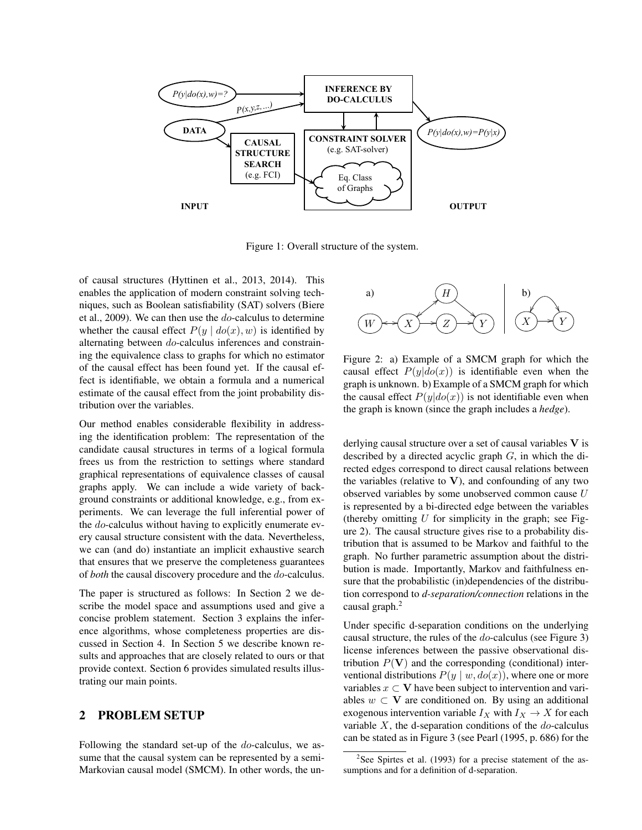

Figure 1: Overall structure of the system.

of causal structures (Hyttinen et al., 2013, 2014). This enables the application of modern constraint solving techniques, such as Boolean satisfiability (SAT) solvers (Biere et al., 2009). We can then use the  $do$ -calculus to determine whether the causal effect  $P(y | do(x), w)$  is identified by alternating between do-calculus inferences and constraining the equivalence class to graphs for which no estimator of the causal effect has been found yet. If the causal effect is identifiable, we obtain a formula and a numerical estimate of the causal effect from the joint probability distribution over the variables.

Our method enables considerable flexibility in addressing the identification problem: The representation of the candidate causal structures in terms of a logical formula frees us from the restriction to settings where standard graphical representations of equivalence classes of causal graphs apply. We can include a wide variety of background constraints or additional knowledge, e.g., from experiments. We can leverage the full inferential power of the do-calculus without having to explicitly enumerate every causal structure consistent with the data. Nevertheless, we can (and do) instantiate an implicit exhaustive search that ensures that we preserve the completeness guarantees of *both* the causal discovery procedure and the do-calculus.

The paper is structured as follows: In Section 2 we describe the model space and assumptions used and give a concise problem statement. Section 3 explains the inference algorithms, whose completeness properties are discussed in Section 4. In Section 5 we describe known results and approaches that are closely related to ours or that provide context. Section 6 provides simulated results illustrating our main points.

## 2 PROBLEM SETUP

Following the standard set-up of the *do-calculus*, we assume that the causal system can be represented by a semi-Markovian causal model (SMCM). In other words, the un-



Figure 2: a) Example of a SMCM graph for which the causal effect  $P(y|do(x))$  is identifiable even when the graph is unknown. b) Example of a SMCM graph for which the causal effect  $P(y|do(x))$  is not identifiable even when the graph is known (since the graph includes a *hedge*).

derlying causal structure over a set of causal variables V is described by a directed acyclic graph  $G$ , in which the directed edges correspond to direct causal relations between the variables (relative to  $V$ ), and confounding of any two observed variables by some unobserved common cause U is represented by a bi-directed edge between the variables (thereby omitting  $U$  for simplicity in the graph; see Figure 2). The causal structure gives rise to a probability distribution that is assumed to be Markov and faithful to the graph. No further parametric assumption about the distribution is made. Importantly, Markov and faithfulness ensure that the probabilistic (in)dependencies of the distribution correspond to *d-separation/connection* relations in the causal graph.<sup>2</sup>

Under specific d-separation conditions on the underlying causal structure, the rules of the do-calculus (see Figure 3) license inferences between the passive observational distribution  $P(V)$  and the corresponding (conditional) interventional distributions  $P(y | w, do(x))$ , where one or more variables  $x \subset V$  have been subject to intervention and variables  $w \subset V$  are conditioned on. By using an additional exogenous intervention variable  $I_X$  with  $I_X \to X$  for each variable  $X$ , the d-separation conditions of the  $do$ -calculus can be stated as in Figure 3 (see Pearl (1995, p. 686) for the

 $2$ See Spirtes et al. (1993) for a precise statement of the assumptions and for a definition of d-separation.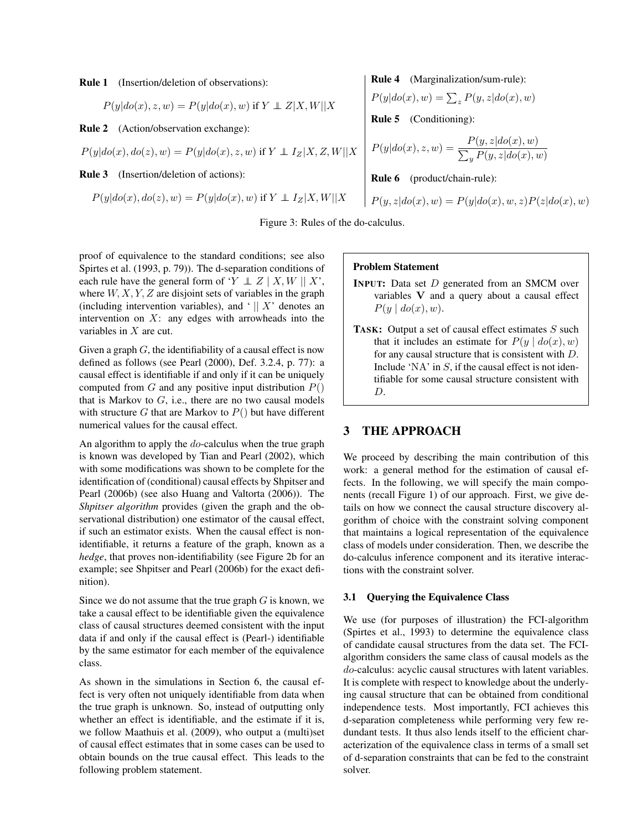Rule 1 (Insertion/deletion of observations):

$$
P(y|do(x), z, w) = P(y|do(x), w) \text{ if } Y \perp Z | X, W | X
$$

Rule 2 (Action/observation exchange):

$$
P(y|do(x), do(z), w) = P(y|do(x), z, w) \text{ if } Y \perp I_Z | X, Z, W | X
$$

Rule 3 (Insertion/deletion of actions):

$$
P(y|do(x), do(z), w) = P(y|do(x), w) \text{ if } Y \perp I_Z | X, W | X
$$

Rule 4 (Marginalization/sum-rule):

 $P(y|do(x), w) = \sum_{z} P(y, z|do(x), w)$ 

Rule 5 (Conditioning):

$$
P(y|do(x), z, w) = \frac{P(y, z|do(x), w)}{\sum_{y} P(y, z| do(x), w)}
$$

Rule 6 (product/chain-rule):

$$
P(y, z|do(x), w) = P(y|do(x), w, z)P(z|do(x), w)
$$

Figure 3: Rules of the do-calculus.

proof of equivalence to the standard conditions; see also Spirtes et al. (1993, p. 79)). The d-separation conditions of each rule have the general form of 'Y  $\perp Z \mid X, W \mid X$ ', where  $W, X, Y, Z$  are disjoint sets of variables in the graph (including intervention variables), and ' $|| X'$  denotes an intervention on  $X$ : any edges with arrowheads into the variables in X are cut.

Given a graph  $G$ , the identifiability of a causal effect is now defined as follows (see Pearl (2000), Def. 3.2.4, p. 77): a causal effect is identifiable if and only if it can be uniquely computed from  $G$  and any positive input distribution  $P()$ that is Markov to  $G$ , i.e., there are no two causal models with structure G that are Markov to  $P()$  but have different numerical values for the causal effect.

An algorithm to apply the *do*-calculus when the true graph is known was developed by Tian and Pearl (2002), which with some modifications was shown to be complete for the identification of (conditional) causal effects by Shpitser and Pearl (2006b) (see also Huang and Valtorta (2006)). The *Shpitser algorithm* provides (given the graph and the observational distribution) one estimator of the causal effect, if such an estimator exists. When the causal effect is nonidentifiable, it returns a feature of the graph, known as a *hedge*, that proves non-identifiability (see Figure 2b for an example; see Shpitser and Pearl (2006b) for the exact definition).

Since we do not assume that the true graph  $G$  is known, we take a causal effect to be identifiable given the equivalence class of causal structures deemed consistent with the input data if and only if the causal effect is (Pearl-) identifiable by the same estimator for each member of the equivalence class.

As shown in the simulations in Section 6, the causal effect is very often not uniquely identifiable from data when the true graph is unknown. So, instead of outputting only whether an effect is identifiable, and the estimate if it is, we follow Maathuis et al. (2009), who output a (multi)set of causal effect estimates that in some cases can be used to obtain bounds on the true causal effect. This leads to the following problem statement.

#### Problem Statement

- INPUT: Data set D generated from an SMCM over variables V and a query about a causal effect  $P(y \mid do(x), w)$ .
- TASK: Output a set of causal effect estimates  $S$  such that it includes an estimate for  $P(y | do(x), w)$ for any causal structure that is consistent with D. Include 'NA' in  $S$ , if the causal effect is not identifiable for some causal structure consistent with D.

## 3 THE APPROACH

We proceed by describing the main contribution of this work: a general method for the estimation of causal effects. In the following, we will specify the main components (recall Figure 1) of our approach. First, we give details on how we connect the causal structure discovery algorithm of choice with the constraint solving component that maintains a logical representation of the equivalence class of models under consideration. Then, we describe the do-calculus inference component and its iterative interactions with the constraint solver.

#### 3.1 Querying the Equivalence Class

We use (for purposes of illustration) the FCI-algorithm (Spirtes et al., 1993) to determine the equivalence class of candidate causal structures from the data set. The FCIalgorithm considers the same class of causal models as the do-calculus: acyclic causal structures with latent variables. It is complete with respect to knowledge about the underlying causal structure that can be obtained from conditional independence tests. Most importantly, FCI achieves this d-separation completeness while performing very few redundant tests. It thus also lends itself to the efficient characterization of the equivalence class in terms of a small set of d-separation constraints that can be fed to the constraint solver.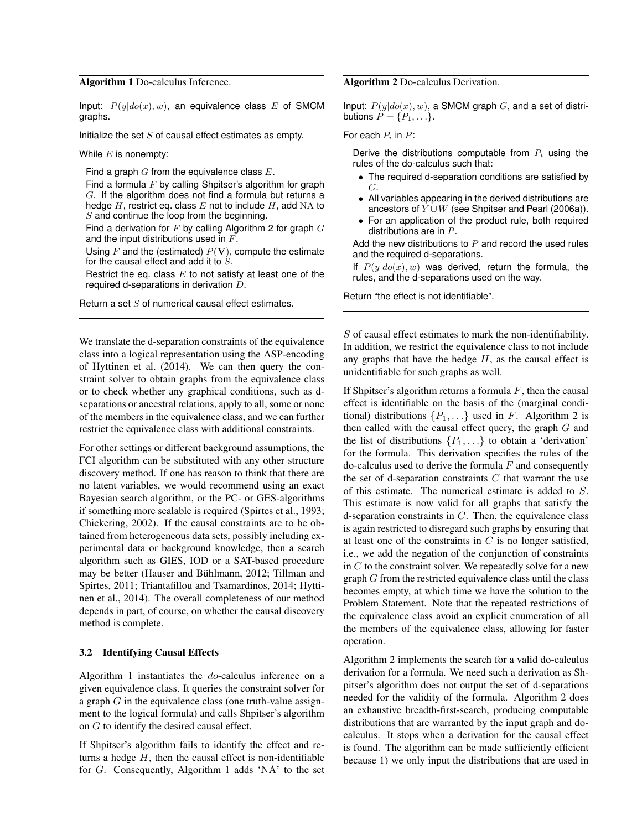#### Algorithm 1 Do-calculus Inference.

Input:  $P(y|do(x), w)$ , an equivalence class E of SMCM graphs.

Initialize the set  $S$  of causal effect estimates as empty.

While  $E$  is nonempty:

Find a graph  $G$  from the equivalence class  $E$ .

Find a formula  $F$  by calling Shpitser's algorithm for graph  $G.$  If the algorithm does not find a formula but returns a hedge  $H$ , restrict eq. class  $E$  not to include  $H$ , add NA to  $S$  and continue the loop from the beginning.

Find a derivation for F by calling Algorithm 2 for graph  $G$ and the input distributions used in  $F$ .

Using F and the (estimated)  $P(V)$ , compute the estimate for the causal effect and add it to S.

Restrict the eq. class  $E$  to not satisfy at least one of the required d-separations in derivation D.

Return a set S of numerical causal effect estimates.

We translate the d-separation constraints of the equivalence class into a logical representation using the ASP-encoding of Hyttinen et al. (2014). We can then query the constraint solver to obtain graphs from the equivalence class or to check whether any graphical conditions, such as dseparations or ancestral relations, apply to all, some or none of the members in the equivalence class, and we can further restrict the equivalence class with additional constraints.

For other settings or different background assumptions, the FCI algorithm can be substituted with any other structure discovery method. If one has reason to think that there are no latent variables, we would recommend using an exact Bayesian search algorithm, or the PC- or GES-algorithms if something more scalable is required (Spirtes et al., 1993; Chickering, 2002). If the causal constraints are to be obtained from heterogeneous data sets, possibly including experimental data or background knowledge, then a search algorithm such as GIES, IOD or a SAT-based procedure may be better (Hauser and Bühlmann, 2012; Tillman and Spirtes, 2011; Triantafillou and Tsamardinos, 2014; Hyttinen et al., 2014). The overall completeness of our method depends in part, of course, on whether the causal discovery method is complete.

#### 3.2 Identifying Causal Effects

Algorithm 1 instantiates the do-calculus inference on a given equivalence class. It queries the constraint solver for a graph G in the equivalence class (one truth-value assignment to the logical formula) and calls Shpitser's algorithm on G to identify the desired causal effect.

If Shpitser's algorithm fails to identify the effect and returns a hedge  $H$ , then the causal effect is non-identifiable for G. Consequently, Algorithm 1 adds 'NA' to the set Algorithm 2 Do-calculus Derivation.

Input:  $P(y|do(x), w)$ , a SMCM graph G, and a set of distributions  $P = \{P_1, \ldots\}.$ 

#### For each  $P_i$  in  $P$ :

Derive the distributions computable from  $P_i$  using the rules of the do-calculus such that:

- The required d-separation conditions are satisfied by G.
- All variables appearing in the derived distributions are ancestors of  $Y \cup W$  (see Shpitser and Pearl (2006a)).
- For an application of the product rule, both required distributions are in P.

Add the new distributions to  $P$  and record the used rules and the required d-separations.

If  $P(y|do(x), w)$  was derived, return the formula, the rules, and the d-separations used on the way.

Return "the effect is not identifiable".

S of causal effect estimates to mark the non-identifiability. In addition, we restrict the equivalence class to not include any graphs that have the hedge  $H$ , as the causal effect is unidentifiable for such graphs as well.

If Shpitser's algorithm returns a formula  $F$ , then the causal effect is identifiable on the basis of the (marginal conditional) distributions  $\{P_1, \ldots\}$  used in F. Algorithm 2 is then called with the causal effect query, the graph  $G$  and the list of distributions  $\{P_1, \ldots\}$  to obtain a 'derivation' for the formula. This derivation specifies the rules of the do-calculus used to derive the formula  $F$  and consequently the set of d-separation constraints  $C$  that warrant the use of this estimate. The numerical estimate is added to S. This estimate is now valid for all graphs that satisfy the d-separation constraints in  $C$ . Then, the equivalence class is again restricted to disregard such graphs by ensuring that at least one of the constraints in  $C$  is no longer satisfied, i.e., we add the negation of the conjunction of constraints in  $C$  to the constraint solver. We repeatedly solve for a new graph G from the restricted equivalence class until the class becomes empty, at which time we have the solution to the Problem Statement. Note that the repeated restrictions of the equivalence class avoid an explicit enumeration of all the members of the equivalence class, allowing for faster operation.

Algorithm 2 implements the search for a valid do-calculus derivation for a formula. We need such a derivation as Shpitser's algorithm does not output the set of d-separations needed for the validity of the formula. Algorithm 2 does an exhaustive breadth-first-search, producing computable distributions that are warranted by the input graph and docalculus. It stops when a derivation for the causal effect is found. The algorithm can be made sufficiently efficient because 1) we only input the distributions that are used in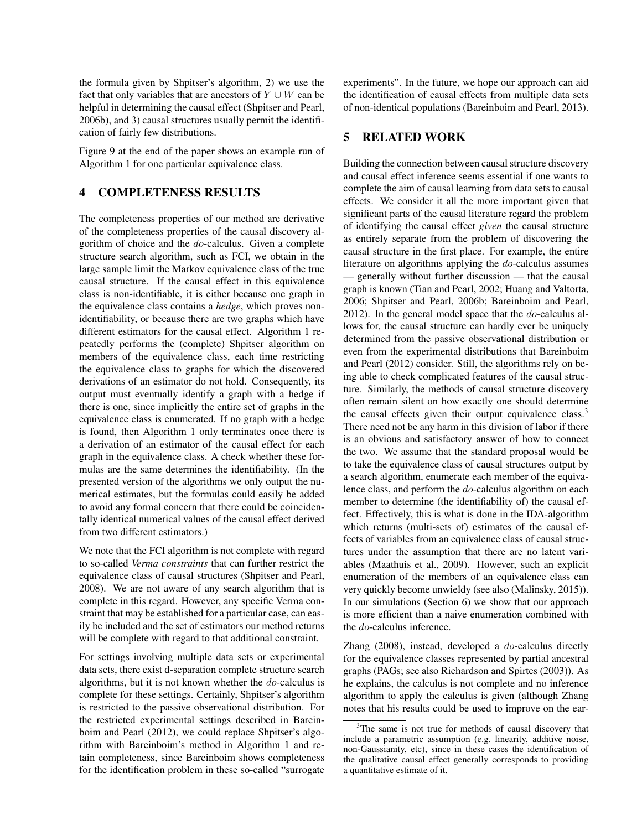the formula given by Shpitser's algorithm, 2) we use the fact that only variables that are ancestors of  $Y \cup W$  can be helpful in determining the causal effect (Shpitser and Pearl, 2006b), and 3) causal structures usually permit the identification of fairly few distributions.

Figure 9 at the end of the paper shows an example run of Algorithm 1 for one particular equivalence class.

## 4 COMPLETENESS RESULTS

The completeness properties of our method are derivative of the completeness properties of the causal discovery algorithm of choice and the do-calculus. Given a complete structure search algorithm, such as FCI, we obtain in the large sample limit the Markov equivalence class of the true causal structure. If the causal effect in this equivalence class is non-identifiable, it is either because one graph in the equivalence class contains a *hedge*, which proves nonidentifiability, or because there are two graphs which have different estimators for the causal effect. Algorithm 1 repeatedly performs the (complete) Shpitser algorithm on members of the equivalence class, each time restricting the equivalence class to graphs for which the discovered derivations of an estimator do not hold. Consequently, its output must eventually identify a graph with a hedge if there is one, since implicitly the entire set of graphs in the equivalence class is enumerated. If no graph with a hedge is found, then Algorithm 1 only terminates once there is a derivation of an estimator of the causal effect for each graph in the equivalence class. A check whether these formulas are the same determines the identifiability. (In the presented version of the algorithms we only output the numerical estimates, but the formulas could easily be added to avoid any formal concern that there could be coincidentally identical numerical values of the causal effect derived from two different estimators.)

We note that the FCI algorithm is not complete with regard to so-called *Verma constraints* that can further restrict the equivalence class of causal structures (Shpitser and Pearl, 2008). We are not aware of any search algorithm that is complete in this regard. However, any specific Verma constraint that may be established for a particular case, can easily be included and the set of estimators our method returns will be complete with regard to that additional constraint.

For settings involving multiple data sets or experimental data sets, there exist d-separation complete structure search algorithms, but it is not known whether the do-calculus is complete for these settings. Certainly, Shpitser's algorithm is restricted to the passive observational distribution. For the restricted experimental settings described in Bareinboim and Pearl (2012), we could replace Shpitser's algorithm with Bareinboim's method in Algorithm 1 and retain completeness, since Bareinboim shows completeness for the identification problem in these so-called "surrogate experiments". In the future, we hope our approach can aid the identification of causal effects from multiple data sets of non-identical populations (Bareinboim and Pearl, 2013).

## 5 RELATED WORK

Building the connection between causal structure discovery and causal effect inference seems essential if one wants to complete the aim of causal learning from data sets to causal effects. We consider it all the more important given that significant parts of the causal literature regard the problem of identifying the causal effect *given* the causal structure as entirely separate from the problem of discovering the causal structure in the first place. For example, the entire literature on algorithms applying the do-calculus assumes — generally without further discussion — that the causal graph is known (Tian and Pearl, 2002; Huang and Valtorta, 2006; Shpitser and Pearl, 2006b; Bareinboim and Pearl, 2012). In the general model space that the do-calculus allows for, the causal structure can hardly ever be uniquely determined from the passive observational distribution or even from the experimental distributions that Bareinboim and Pearl (2012) consider. Still, the algorithms rely on being able to check complicated features of the causal structure. Similarly, the methods of causal structure discovery often remain silent on how exactly one should determine the causal effects given their output equivalence class.<sup>3</sup> There need not be any harm in this division of labor if there is an obvious and satisfactory answer of how to connect the two. We assume that the standard proposal would be to take the equivalence class of causal structures output by a search algorithm, enumerate each member of the equivalence class, and perform the do-calculus algorithm on each member to determine (the identifiability of) the causal effect. Effectively, this is what is done in the IDA-algorithm which returns (multi-sets of) estimates of the causal effects of variables from an equivalence class of causal structures under the assumption that there are no latent variables (Maathuis et al., 2009). However, such an explicit enumeration of the members of an equivalence class can very quickly become unwieldy (see also (Malinsky, 2015)). In our simulations (Section 6) we show that our approach is more efficient than a naive enumeration combined with the do-calculus inference.

Zhang (2008), instead, developed a do-calculus directly for the equivalence classes represented by partial ancestral graphs (PAGs; see also Richardson and Spirtes (2003)). As he explains, the calculus is not complete and no inference algorithm to apply the calculus is given (although Zhang notes that his results could be used to improve on the ear-

<sup>&</sup>lt;sup>3</sup>The same is not true for methods of causal discovery that include a parametric assumption (e.g. linearity, additive noise, non-Gaussianity, etc), since in these cases the identification of the qualitative causal effect generally corresponds to providing a quantitative estimate of it.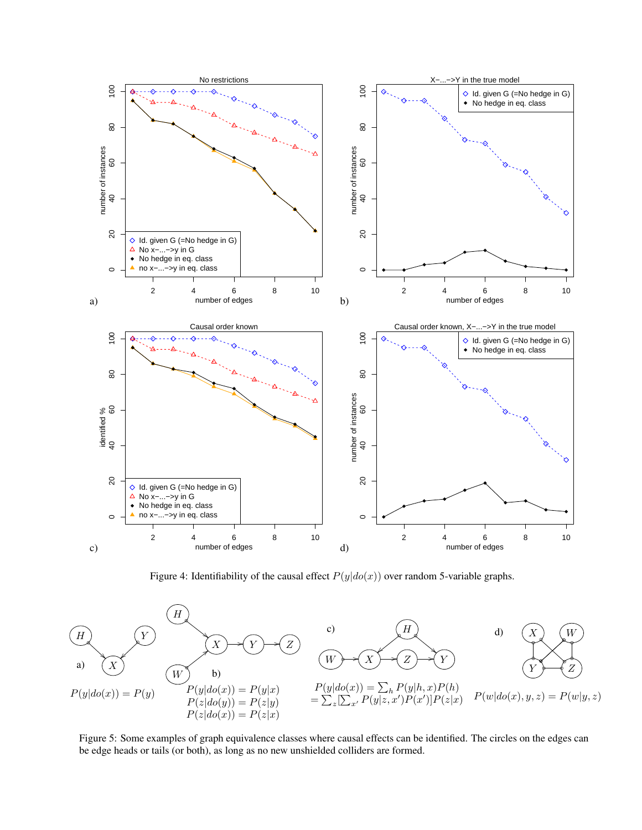

Figure 4: Identifiability of the causal effect  $P(y|do(x))$  over random 5-variable graphs.



Figure 5: Some examples of graph equivalence classes where causal effects can be identified. The circles on the edges can be edge heads or tails (or both), as long as no new unshielded colliders are formed.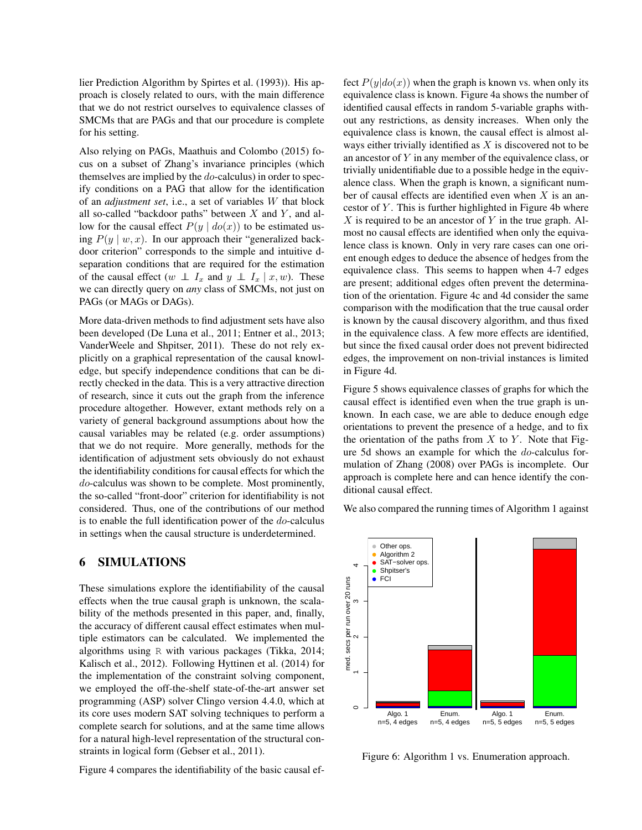lier Prediction Algorithm by Spirtes et al. (1993)). His approach is closely related to ours, with the main difference that we do not restrict ourselves to equivalence classes of SMCMs that are PAGs and that our procedure is complete for his setting.

Also relying on PAGs, Maathuis and Colombo (2015) focus on a subset of Zhang's invariance principles (which themselves are implied by the do-calculus) in order to specify conditions on a PAG that allow for the identification of an *adjustment set*, i.e., a set of variables W that block all so-called "backdoor paths" between  $X$  and  $Y$ , and allow for the causal effect  $P(y | do(x))$  to be estimated using  $P(y \mid w, x)$ . In our approach their "generalized backdoor criterion" corresponds to the simple and intuitive dseparation conditions that are required for the estimation of the causal effect  $(w \perp I_x$  and  $y \perp I_x | x, w)$ . These we can directly query on *any* class of SMCMs, not just on PAGs (or MAGs or DAGs).

More data-driven methods to find adjustment sets have also been developed (De Luna et al., 2011; Entner et al., 2013; VanderWeele and Shpitser, 2011). These do not rely explicitly on a graphical representation of the causal knowledge, but specify independence conditions that can be directly checked in the data. This is a very attractive direction of research, since it cuts out the graph from the inference procedure altogether. However, extant methods rely on a variety of general background assumptions about how the causal variables may be related (e.g. order assumptions) that we do not require. More generally, methods for the identification of adjustment sets obviously do not exhaust the identifiability conditions for causal effects for which the do-calculus was shown to be complete. Most prominently, the so-called "front-door" criterion for identifiability is not considered. Thus, one of the contributions of our method is to enable the full identification power of the  $do$ -calculus in settings when the causal structure is underdetermined.

### 6 SIMULATIONS

These simulations explore the identifiability of the causal effects when the true causal graph is unknown, the scalability of the methods presented in this paper, and, finally, the accuracy of different causal effect estimates when multiple estimators can be calculated. We implemented the algorithms using R with various packages (Tikka, 2014; Kalisch et al., 2012). Following Hyttinen et al. (2014) for the implementation of the constraint solving component, we employed the off-the-shelf state-of-the-art answer set programming (ASP) solver Clingo version 4.4.0, which at its core uses modern SAT solving techniques to perform a complete search for solutions, and at the same time allows for a natural high-level representation of the structural constraints in logical form (Gebser et al., 2011).

Figure 4 compares the identifiability of the basic causal ef-

fect  $P(y|do(x))$  when the graph is known vs. when only its equivalence class is known. Figure 4a shows the number of identified causal effects in random 5-variable graphs without any restrictions, as density increases. When only the equivalence class is known, the causal effect is almost always either trivially identified as X is discovered not to be an ancestor of Y in any member of the equivalence class, or trivially unidentifiable due to a possible hedge in the equivalence class. When the graph is known, a significant number of causal effects are identified even when  $X$  is an ancestor of  $Y$ . This is further highlighted in Figure 4b where X is required to be an ancestor of Y in the true graph. Almost no causal effects are identified when only the equivalence class is known. Only in very rare cases can one orient enough edges to deduce the absence of hedges from the equivalence class. This seems to happen when 4-7 edges are present; additional edges often prevent the determination of the orientation. Figure 4c and 4d consider the same comparison with the modification that the true causal order is known by the causal discovery algorithm, and thus fixed in the equivalence class. A few more effects are identified, but since the fixed causal order does not prevent bidirected edges, the improvement on non-trivial instances is limited in Figure 4d.

Figure 5 shows equivalence classes of graphs for which the causal effect is identified even when the true graph is unknown. In each case, we are able to deduce enough edge orientations to prevent the presence of a hedge, and to fix the orientation of the paths from  $X$  to  $Y$ . Note that Figure 5d shows an example for which the do-calculus formulation of Zhang (2008) over PAGs is incomplete. Our approach is complete here and can hence identify the conditional causal effect.

We also compared the running times of Algorithm 1 against



Figure 6: Algorithm 1 vs. Enumeration approach.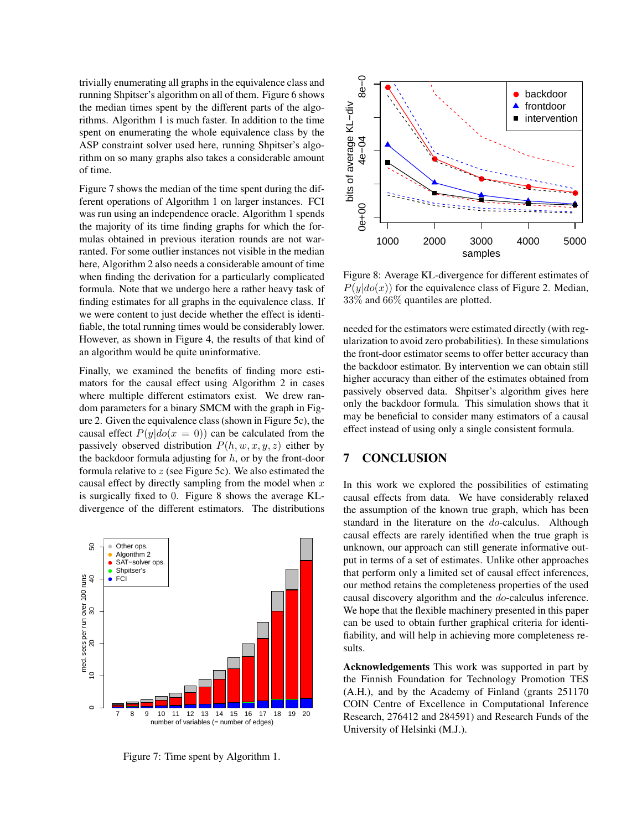trivially enumerating all graphs in the equivalence class and running Shpitser's algorithm on all of them. Figure 6 shows the median times spent by the different parts of the algorithms. Algorithm 1 is much faster. In addition to the time spent on enumerating the whole equivalence class by the ASP constraint solver used here, running Shpitser's algorithm on so many graphs also takes a considerable amount of time.

Figure 7 shows the median of the time spent during the different operations of Algorithm 1 on larger instances. FCI was run using an independence oracle. Algorithm 1 spends the majority of its time finding graphs for which the formulas obtained in previous iteration rounds are not warranted. For some outlier instances not visible in the median here, Algorithm 2 also needs a considerable amount of time when finding the derivation for a particularly complicated formula. Note that we undergo here a rather heavy task of finding estimates for all graphs in the equivalence class. If we were content to just decide whether the effect is identifiable, the total running times would be considerably lower. However, as shown in Figure 4, the results of that kind of an algorithm would be quite uninformative.

Finally, we examined the benefits of finding more estimators for the causal effect using Algorithm 2 in cases where multiple different estimators exist. We drew random parameters for a binary SMCM with the graph in Figure 2. Given the equivalence class (shown in Figure 5c), the causal effect  $P(y|do(x = 0))$  can be calculated from the passively observed distribution  $P(h, w, x, y, z)$  either by the backdoor formula adjusting for  $h$ , or by the front-door formula relative to  $z$  (see Figure 5c). We also estimated the causal effect by directly sampling from the model when  $x$ is surgically fixed to 0. Figure 8 shows the average KLdivergence of the different estimators. The distributions



Figure 7: Time spent by Algorithm 1.



Figure 8: Average KL-divergence for different estimates of  $P(y|do(x))$  for the equivalence class of Figure 2. Median, 33% and 66% quantiles are plotted.

needed for the estimators were estimated directly (with regularization to avoid zero probabilities). In these simulations the front-door estimator seems to offer better accuracy than the backdoor estimator. By intervention we can obtain still higher accuracy than either of the estimates obtained from passively observed data. Shpitser's algorithm gives here only the backdoor formula. This simulation shows that it may be beneficial to consider many estimators of a causal effect instead of using only a single consistent formula.

### 7 CONCLUSION

In this work we explored the possibilities of estimating causal effects from data. We have considerably relaxed the assumption of the known true graph, which has been standard in the literature on the do-calculus. Although causal effects are rarely identified when the true graph is unknown, our approach can still generate informative output in terms of a set of estimates. Unlike other approaches that perform only a limited set of causal effect inferences, our method retains the completeness properties of the used causal discovery algorithm and the do-calculus inference. We hope that the flexible machinery presented in this paper can be used to obtain further graphical criteria for identifiability, and will help in achieving more completeness results.

Acknowledgements This work was supported in part by the Finnish Foundation for Technology Promotion TES (A.H.), and by the Academy of Finland (grants 251170 COIN Centre of Excellence in Computational Inference Research, 276412 and 284591) and Research Funds of the University of Helsinki (M.J.).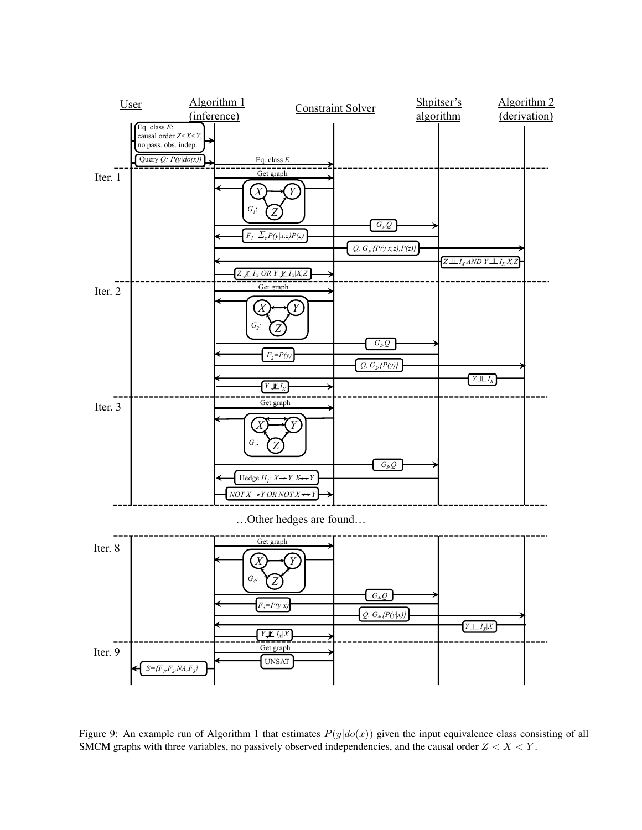

Figure 9: An example run of Algorithm 1 that estimates  $P(y|do(x))$  given the input equivalence class consisting of all SMCM graphs with three variables, no passively observed independencies, and the causal order  $Z < X < Y$ .